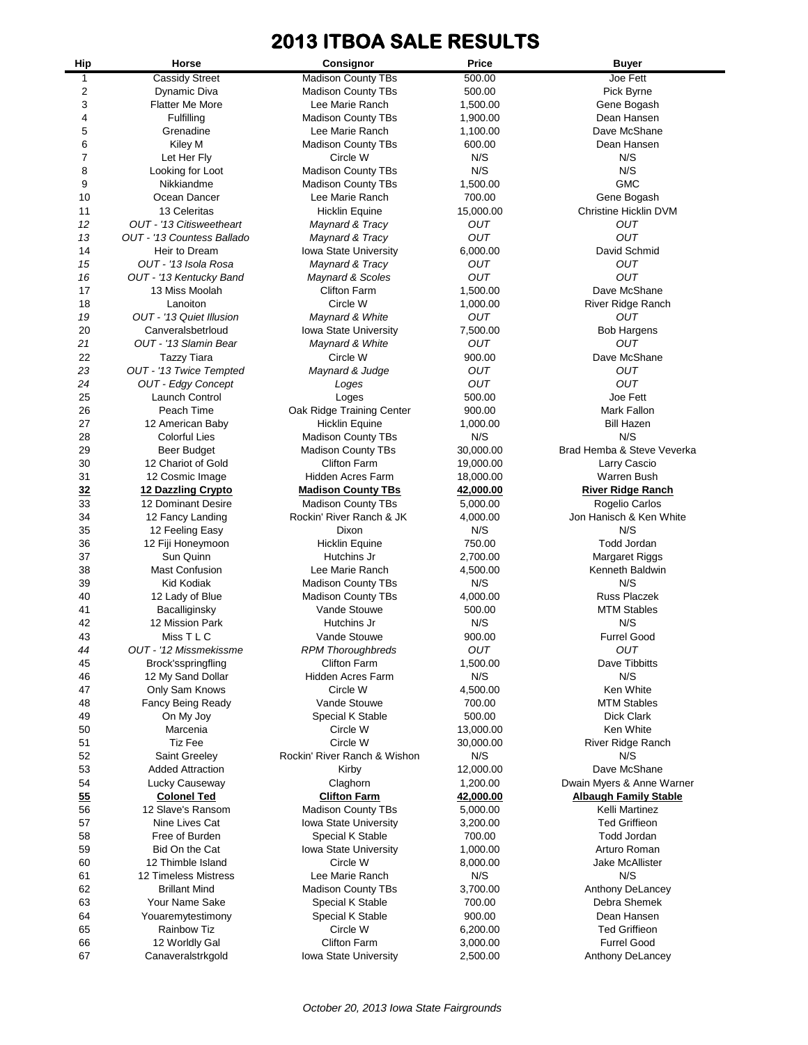## **2013 ITBOA SALE RESULTS**

| Hip            | Horse                                     | Consignor                                       | <b>Price</b>    | <b>Buyer</b>                 |
|----------------|-------------------------------------------|-------------------------------------------------|-----------------|------------------------------|
| 1              | <b>Cassidy Street</b>                     | <b>Madison County TBs</b>                       | 500.00          | Joe Fett                     |
| $\overline{c}$ | Dynamic Diva                              | <b>Madison County TBs</b>                       | 500.00          | Pick Byrne                   |
| 3              | Flatter Me More                           | Lee Marie Ranch                                 | 1,500.00        | Gene Bogash                  |
| 4              | Fulfilling                                | <b>Madison County TBs</b>                       | 1,900.00        | Dean Hansen                  |
| 5              | Grenadine                                 | Lee Marie Ranch                                 | 1,100.00        | Dave McShane                 |
| 6              | Kiley M                                   | <b>Madison County TBs</b>                       | 600.00          | Dean Hansen                  |
| 7              | Let Her Fly                               | Circle W                                        | N/S             | N/S                          |
| 8              | Looking for Loot                          | Madison County TBs                              | N/S             | N/S                          |
| 9              | Nikkiandme                                | <b>Madison County TBs</b>                       | 1,500.00        | <b>GMC</b>                   |
| 10             | Ocean Dancer                              | Lee Marie Ranch                                 | 700.00          | Gene Bogash                  |
| 11             | 13 Celeritas                              | <b>Hicklin Equine</b>                           | 15,000.00       | <b>Christine Hicklin DVM</b> |
| 12             | OUT - '13 Citisweetheart                  | Maynard & Tracy                                 | OUT             | <b>OUT</b>                   |
| 13             | OUT - '13 Countess Ballado                | Maynard & Tracy                                 | OUT             | OUT                          |
| 14             | Heir to Dream<br>OUT - '13 Isola Rosa     | Iowa State University                           | 6,000.00        | David Schmid<br><b>OUT</b>   |
| 15             |                                           | Maynard & Tracy                                 | OUT<br>OUT      | <b>OUT</b>                   |
| 16<br>17       | OUT - '13 Kentucky Band<br>13 Miss Moolah | Maynard & Scoles<br><b>Clifton Farm</b>         | 1,500.00        | Dave McShane                 |
| 18             | Lanoiton                                  | Circle W                                        | 1,000.00        | River Ridge Ranch            |
| 19             | OUT - '13 Quiet Illusion                  | Maynard & White                                 | OUT             | OUT                          |
| 20             | Canveralsbetrloud                         | Iowa State University                           | 7,500.00        | <b>Bob Hargens</b>           |
| 21             | OUT - '13 Slamin Bear                     | Maynard & White                                 | OUT             | OUT                          |
| 22             | <b>Tazzy Tiara</b>                        | Circle W                                        | 900.00          | Dave McShane                 |
| 23             | OUT - '13 Twice Tempted                   | Maynard & Judge                                 | OUT             | OUT                          |
| 24             | OUT - Edgy Concept                        | Loges                                           | OUT             | OUT                          |
| 25             | Launch Control                            | Loges                                           | 500.00          | Joe Fett                     |
| 26             | Peach Time                                | Oak Ridge Training Center                       | 900.00          | Mark Fallon                  |
| 27             | 12 American Baby                          | <b>Hicklin Equine</b>                           | 1,000.00        | <b>Bill Hazen</b>            |
| 28             | <b>Colorful Lies</b>                      | <b>Madison County TBs</b>                       | N/S             | N/S                          |
| 29             | Beer Budget                               | <b>Madison County TBs</b>                       | 30,000.00       | Brad Hemba & Steve Veverka   |
| 30             | 12 Chariot of Gold                        | <b>Clifton Farm</b>                             | 19,000.00       | Larry Cascio                 |
| 31             | 12 Cosmic Image                           | Hidden Acres Farm                               | 18,000.00       | Warren Bush                  |
| 32             | 12 Dazzling Crypto                        | <b>Madison County TBs</b>                       | 42,000.00       | <b>River Ridge Ranch</b>     |
| 33             | 12 Dominant Desire                        | <b>Madison County TBs</b>                       | 5,000.00        | Rogelio Carlos               |
| 34             | 12 Fancy Landing                          | Rockin' River Ranch & JK                        | 4,000.00        | Jon Hanisch & Ken White      |
| 35             | 12 Feeling Easy                           | Dixon                                           | N/S             | N/S                          |
| 36             | 12 Fiji Honeymoon                         | <b>Hicklin Equine</b>                           | 750.00          | <b>Todd Jordan</b>           |
| 37             | Sun Quinn                                 | Hutchins Jr                                     | 2,700.00        | Margaret Riggs               |
| 38             | <b>Mast Confusion</b>                     | Lee Marie Ranch                                 | 4,500.00        | Kenneth Baldwin              |
| 39             | Kid Kodiak                                | <b>Madison County TBs</b>                       | N/S             | N/S                          |
| 40             | 12 Lady of Blue                           | <b>Madison County TBs</b>                       | 4,000.00        | <b>Russ Placzek</b>          |
| 41             | Bacalliginsky                             | Vande Stouwe                                    | 500.00          | <b>MTM Stables</b>           |
| 42             | 12 Mission Park                           | Hutchins Jr                                     | N/S             | N/S                          |
| 43             | Miss T L C                                | Vande Stouwe                                    | 900.00          | <b>Furrel Good</b>           |
| 44             | OUT - '12 Missmekissme                    | <b>RPM Thoroughbreds</b>                        | OUT             | OUT<br>Dave Tibbitts         |
| 45             | Brock'sspringfling                        | <b>Clifton Farm</b><br><b>Hidden Acres Farm</b> | 1,500.00<br>N/S | N/S                          |
| 46<br>47       | 12 My Sand Dollar<br>Only Sam Knows       | Circle W                                        | 4,500.00        | Ken White                    |
| 48             | Fancy Being Ready                         | Vande Stouwe                                    | 700.00          | <b>MTM Stables</b>           |
| 49             | On My Joy                                 | Special K Stable                                | 500.00          | Dick Clark                   |
| 50             | Marcenia                                  | Circle W                                        | 13,000.00       | Ken White                    |
| 51             | <b>Tiz Fee</b>                            | Circle W                                        | 30,000.00       | River Ridge Ranch            |
| 52             | Saint Greeley                             | Rockin' River Ranch & Wishon                    | N/S             | N/S                          |
| 53             | <b>Added Attraction</b>                   | Kirby                                           | 12,000.00       | Dave McShane                 |
| 54             | Lucky Causeway                            | Claghorn                                        | 1,200.00        | Dwain Myers & Anne Warner    |
| 55             | <b>Colonel Ted</b>                        | <b>Clifton Farm</b>                             | 42,000.00       | <b>Albaugh Family Stable</b> |
| 56             | 12 Slave's Ransom                         | Madison County TBs                              | 5,000.00        | Kelli Martinez               |
| 57             | Nine Lives Cat                            | Iowa State University                           | 3,200.00        | <b>Ted Griffieon</b>         |
| 58             | Free of Burden                            | Special K Stable                                | 700.00          | <b>Todd Jordan</b>           |
| 59             | Bid On the Cat                            | Iowa State University                           | 1,000.00        | Arturo Roman                 |
| 60             | 12 Thimble Island                         | Circle W                                        | 8,000.00        | Jake McAllister              |
| 61             | 12 Timeless Mistress                      | Lee Marie Ranch                                 | N/S             | N/S                          |
| 62             | <b>Brillant Mind</b>                      | <b>Madison County TBs</b>                       | 3,700.00        | Anthony DeLancey             |
| 63             | Your Name Sake                            | Special K Stable                                | 700.00          | Debra Shemek                 |
| 64             | Youaremytestimony                         | Special K Stable                                | 900.00          | Dean Hansen                  |
| 65             | <b>Rainbow Tiz</b>                        | Circle W                                        | 6,200.00        | <b>Ted Griffieon</b>         |
| 66             | 12 Worldly Gal                            | <b>Clifton Farm</b>                             | 3,000.00        | <b>Furrel Good</b>           |
| 67             | Canaveralstrkgold                         | Iowa State University                           | 2,500.00        | Anthony DeLancey             |